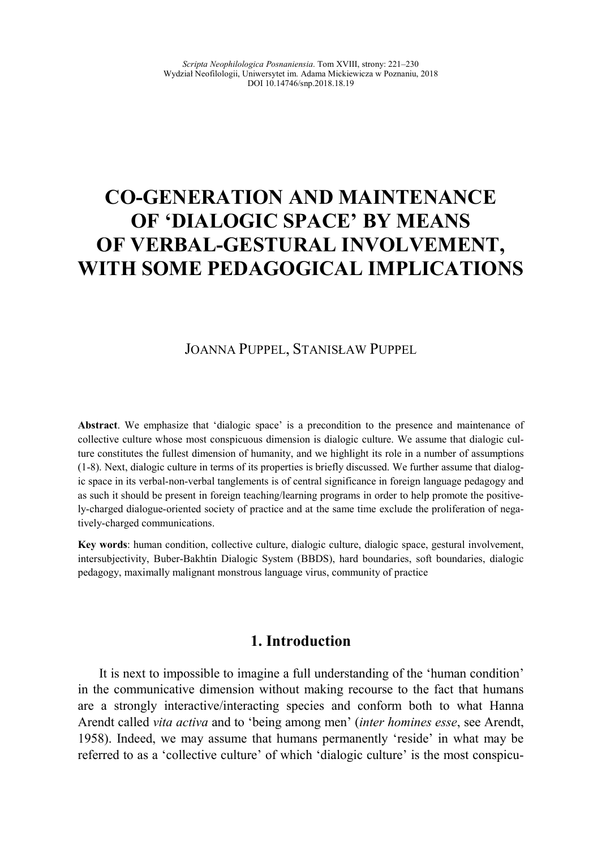# **CO-GENERATION AND MAINTENANCE OF 'DIALOGIC SPACE' BY MEA
S**  OF VERBAL-GESTURAL INVOLVEMENT, WITH SOME PEDAGOGICAL IMPLICATIONS

#### JOANNA PUPPEL, STANISŁAW PUPPEL

**Abstract**. We emphasize that 'dialogic space' is a precondition to the presence and maintenance of collective culture whose most conspicuous dimension is dialogic culture. We assume that dialogic culture constitutes the fullest dimension of humanity, and we highlight its role in a number of assumptions (1-8). Next, dialogic culture in terms of its properties is briefly discussed. We further assume that dialogic space in its verbal-non-verbal tanglements is of central significance in foreign language pedagogy and as such it should be present in foreign teaching/learning programs in order to help promote the positively-charged dialogue-oriented society of practice and at the same time exclude the proliferation of negatively-charged communications.

**Key words**: human condition, collective culture, dialogic culture, dialogic space, gestural involvement, intersubjectivity, Buber-Bakhtin Dialogic System (BBDS), hard boundaries, soft boundaries, dialogic pedagogy, maximally malignant monstrous language virus, community of practice

## **1. Introduction**

It is next to impossible to imagine a full understanding of the 'human condition' in the communicative dimension without making recourse to the fact that humans are a strongly interactive/interacting species and conform both to what Hanna Arendt called *vita activa* and to 'being among men' (*inter homines esse*, see Arendt, 1958). Indeed, we may assume that humans permanently 'reside' in what may be referred to as a 'collective culture' of which 'dialogic culture' is the most conspicu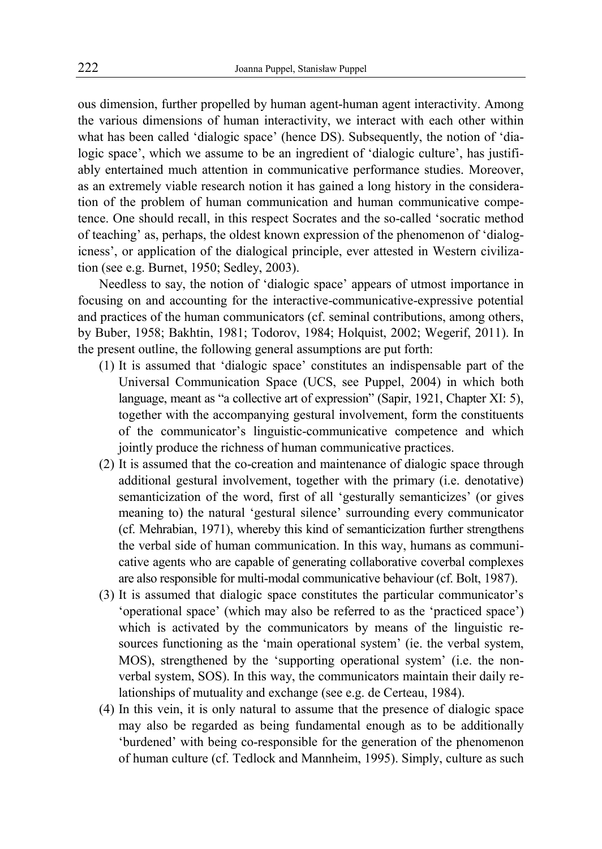ous dimension, further propelled by human agent-human agent interactivity. Among the various dimensions of human interactivity, we interact with each other within what has been called 'dialogic space' (hence DS). Subsequently, the notion of 'dialogic space', which we assume to be an ingredient of 'dialogic culture', has justifiably entertained much attention in communicative performance studies. Moreover, as an extremely viable research notion it has gained a long history in the consideration of the problem of human communication and human communicative competence. One should recall, in this respect Socrates and the so-called 'socratic method of teaching' as, perhaps, the oldest known expression of the phenomenon of 'dialogicness', or application of the dialogical principle, ever attested in Western civilization (see e.g. Burnet, 1950; Sedley, 2003).

Needless to say, the notion of 'dialogic space' appears of utmost importance in focusing on and accounting for the interactive-communicative-expressive potential and practices of the human communicators (cf. seminal contributions, among others, by Buber, 1958; Bakhtin, 1981; Todorov, 1984; Holquist, 2002; Wegerif, 2011). In the present outline, the following general assumptions are put forth:

- (1) It is assumed that 'dialogic space' constitutes an indispensable part of the Universal Communication Space (UCS, see Puppel, 2004) in which both language, meant as "a collective art of expression" (Sapir, 1921, Chapter XI: 5), together with the accompanying gestural involvement, form the constituents of the communicator's linguistic-communicative competence and which jointly produce the richness of human communicative practices.
- (2) It is assumed that the co-creation and maintenance of dialogic space through additional gestural involvement, together with the primary (i.e. denotative) semanticization of the word, first of all 'gesturally semanticizes' (or gives meaning to) the natural 'gestural silence' surrounding every communicator (cf. Mehrabian, 1971), whereby this kind of semanticization further strengthens the verbal side of human communication. In this way, humans as communicative agents who are capable of generating collaborative coverbal complexes are also responsible for multi-modal communicative behaviour (cf. Bolt, 1987).
- (3) It is assumed that dialogic space constitutes the particular communicator's 'operational space' (which may also be referred to as the 'practiced space') which is activated by the communicators by means of the linguistic resources functioning as the 'main operational system' (ie. the verbal system, MOS), strengthened by the 'supporting operational system' (i.e. the nonverbal system, SOS). In this way, the communicators maintain their daily relationships of mutuality and exchange (see e.g. de Certeau, 1984).
- (4) In this vein, it is only natural to assume that the presence of dialogic space may also be regarded as being fundamental enough as to be additionally 'burdened' with being co-responsible for the generation of the phenomenon of human culture (cf. Tedlock and Mannheim, 1995). Simply, culture as such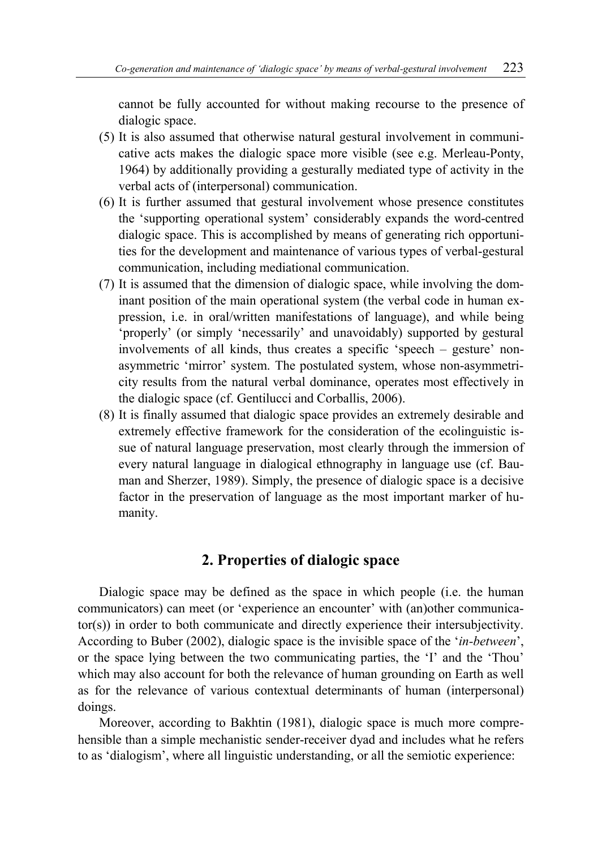cannot be fully accounted for without making recourse to the presence of dialogic space.

- (5) It is also assumed that otherwise natural gestural involvement in communicative acts makes the dialogic space more visible (see e.g. Merleau-Ponty, 1964) by additionally providing a gesturally mediated type of activity in the verbal acts of (interpersonal) communication.
- (6) It is further assumed that gestural involvement whose presence constitutes the 'supporting operational system' considerably expands the word-centred dialogic space. This is accomplished by means of generating rich opportunities for the development and maintenance of various types of verbal-gestural communication, including mediational communication.
- (7) It is assumed that the dimension of dialogic space, while involving the dominant position of the main operational system (the verbal code in human expression, i.e. in oral/written manifestations of language), and while being 'properly' (or simply 'necessarily' and unavoidably) supported by gestural involvements of all kinds, thus creates a specific 'speech – gesture' nonasymmetric 'mirror' system. The postulated system, whose non-asymmetricity results from the natural verbal dominance, operates most effectively in the dialogic space (cf. Gentilucci and Corballis, 2006).
- (8) It is finally assumed that dialogic space provides an extremely desirable and extremely effective framework for the consideration of the ecolinguistic issue of natural language preservation, most clearly through the immersion of every natural language in dialogical ethnography in language use (cf. Bauman and Sherzer, 1989). Simply, the presence of dialogic space is a decisive factor in the preservation of language as the most important marker of humanity.

#### **2. Properties of dialogic space**

Dialogic space may be defined as the space in which people (i.e. the human communicators) can meet (or 'experience an encounter' with (an)other communicator(s)) in order to both communicate and directly experience their intersubjectivity. According to Buber (2002), dialogic space is the invisible space of the '*in-between*', or the space lying between the two communicating parties, the 'I' and the 'Thou' which may also account for both the relevance of human grounding on Earth as well as for the relevance of various contextual determinants of human (interpersonal) doings.

Moreover, according to Bakhtin (1981), dialogic space is much more comprehensible than a simple mechanistic sender-receiver dyad and includes what he refers to as 'dialogism', where all linguistic understanding, or all the semiotic experience: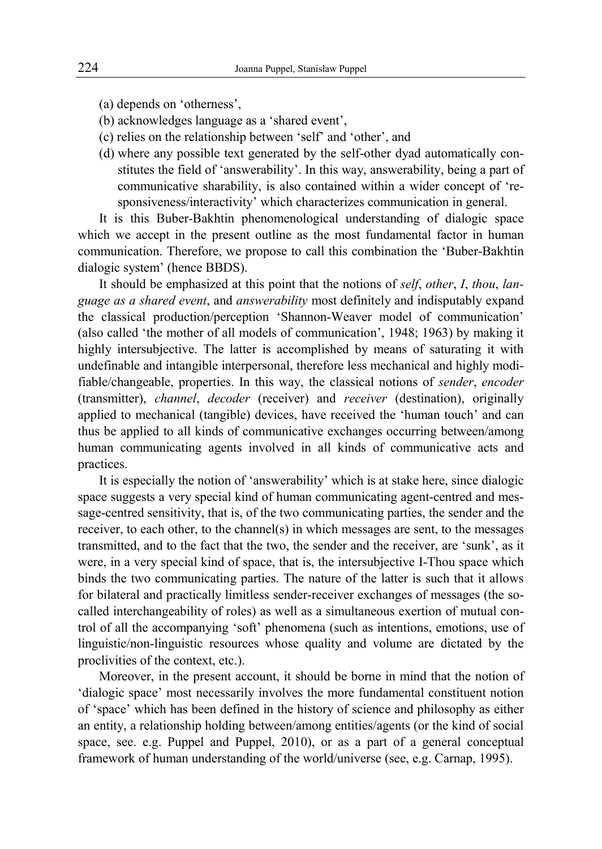(a) depends on 'otherness',

- (b) acknowledges language as a 'shared event',
- (c) relies on the relationship between 'self' and 'other', and
- (d) where any possible text generated by the self-other dyad automatically constitutes the field of 'answerability'. In this way, answerability, being a part of communicative sharability, is also contained within a wider concept of 'responsiveness/interactivity' which characterizes communication in general.

It is this Buber-Bakhtin phenomenological understanding of dialogic space which we accept in the present outline as the most fundamental factor in human communication. Therefore, we propose to call this combination the 'Buber-Bakhtin dialogic system' (hence BBDS).

It should be emphasized at this point that the notions of *self*, *other*, *I*, *thou*, *language as a shared event*, and *answerability* most definitely and indisputably expand the classical production/perception 'Shannon-Weaver model of communication' (also called 'the mother of all models of communication', 1948; 1963) by making it highly intersubjective. The latter is accomplished by means of saturating it with undefinable and intangible interpersonal, therefore less mechanical and highly modifiable/changeable, properties. In this way, the classical notions of *sender*, *encoder* (transmitter), *channel*, *decoder* (receiver) and *receiver* (destination), originally applied to mechanical (tangible) devices, have received the 'human touch' and can thus be applied to all kinds of communicative exchanges occurring between/among human communicating agents involved in all kinds of communicative acts and practices.

It is especially the notion of 'answerability' which is at stake here, since dialogic space suggests a very special kind of human communicating agent-centred and message-centred sensitivity, that is, of the two communicating parties, the sender and the receiver, to each other, to the channel(s) in which messages are sent, to the messages transmitted, and to the fact that the two, the sender and the receiver, are 'sunk', as it were, in a very special kind of space, that is, the intersubjective I-Thou space which binds the two communicating parties. The nature of the latter is such that it allows for bilateral and practically limitless sender-receiver exchanges of messages (the socalled interchangeability of roles) as well as a simultaneous exertion of mutual control of all the accompanying 'soft' phenomena (such as intentions, emotions, use of linguistic/non-linguistic resources whose quality and volume are dictated by the proclivities of the context, etc.).

Moreover, in the present account, it should be borne in mind that the notion of 'dialogic space' most necessarily involves the more fundamental constituent notion of 'space' which has been defined in the history of science and philosophy as either an entity, a relationship holding between/among entities/agents (or the kind of social space, see. e.g. Puppel and Puppel, 2010), or as a part of a general conceptual framework of human understanding of the world/universe (see, e.g. Carnap, 1995).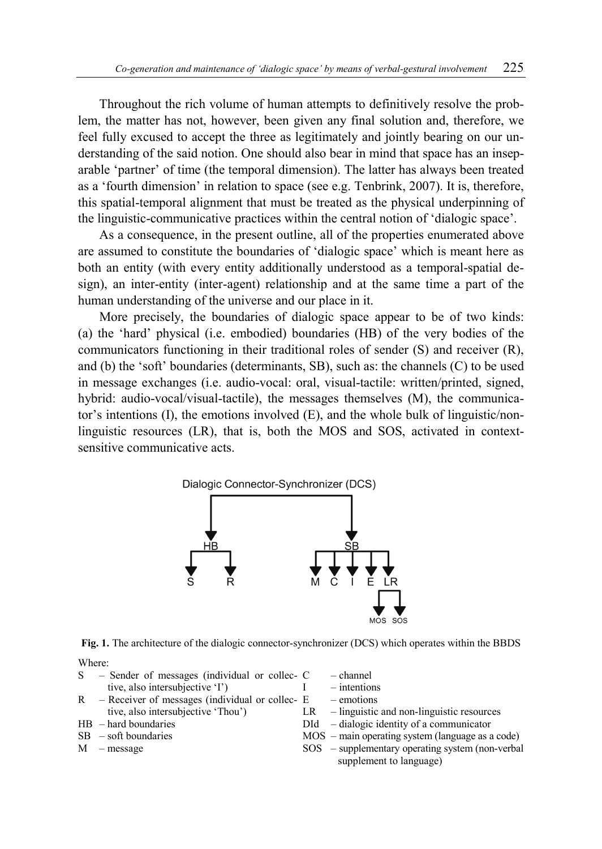Throughout the rich volume of human attempts to definitively resolve the problem, the matter has not, however, been given any final solution and, therefore, we feel fully excused to accept the three as legitimately and jointly bearing on our understanding of the said notion. One should also bear in mind that space has an inseparable 'partner' of time (the temporal dimension). The latter has always been treated as a 'fourth dimension' in relation to space (see e.g. Tenbrink, 2007). It is, therefore, this spatial-temporal alignment that must be treated as the physical underpinning of the linguistic-communicative practices within the central notion of 'dialogic space'.

As a consequence, in the present outline, all of the properties enumerated above are assumed to constitute the boundaries of 'dialogic space' which is meant here as both an entity (with every entity additionally understood as a temporal-spatial design), an inter-entity (inter-agent) relationship and at the same time a part of the human understanding of the universe and our place in it.

More precisely, the boundaries of dialogic space appear to be of two kinds: (a) the 'hard' physical (i.e. embodied) boundaries (HB) of the very bodies of the communicators functioning in their traditional roles of sender (S) and receiver (R), and (b) the 'soft' boundaries (determinants, SB), such as: the channels (C) to be used in message exchanges (i.e. audio-vocal: oral, visual-tactile: written/printed, signed, hybrid: audio-vocal/visual-tactile), the messages themselves (M), the communicator's intentions  $(I)$ , the emotions involved  $(E)$ , and the whole bulk of linguistic/nonlinguistic resources (LR), that is, both the MOS and SOS, activated in contextsensitive communicative acts.



**Fig. 1.** The architecture of the dialogic connector-synchronizer (DCS) which operates within the BBDS

Where:

| S | - Sender of messages (individual or collec- C   |  |
|---|-------------------------------------------------|--|
|   | tive, also intersubjective 'I')                 |  |
| R | - Receiver of messages (individual or collec- E |  |
|   | tive, also intersubjective 'Thou')<br>LR        |  |

- HB hard boundaries
- $SB soft boundaries$
- M message
- channel
- intentions
- emotions
- LR linguistic and non-linguistic resources
- DId dialogic identity of a communicator
- MOS main operating system (language as a code)
- SOS supplementary operating system (non-verbal supplement to language)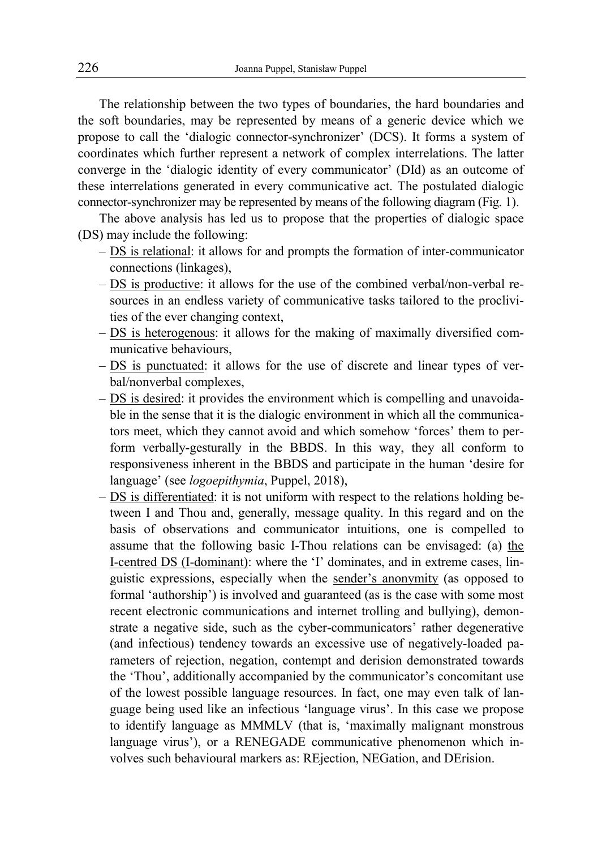The relationship between the two types of boundaries, the hard boundaries and the soft boundaries, may be represented by means of a generic device which we propose to call the 'dialogic connector-synchronizer' (DCS). It forms a system of coordinates which further represent a network of complex interrelations. The latter converge in the 'dialogic identity of every communicator' (DId) as an outcome of these interrelations generated in every communicative act. The postulated dialogic connector-synchronizer may be represented by means of the following diagram (Fig. 1).

The above analysis has led us to propose that the properties of dialogic space (DS) may include the following:

- DS is relational: it allows for and prompts the formation of inter-communicator connections (linkages),
- ‒ DS is productive: it allows for the use of the combined verbal/non-verbal resources in an endless variety of communicative tasks tailored to the proclivities of the ever changing context,
- ‒ DS is heterogenous: it allows for the making of maximally diversified communicative behaviours,
- ‒ DS is punctuated: it allows for the use of discrete and linear types of verbal/nonverbal complexes,
- ‒ DS is desired: it provides the environment which is compelling and unavoidable in the sense that it is the dialogic environment in which all the communicators meet, which they cannot avoid and which somehow 'forces' them to perform verbally-gesturally in the BBDS. In this way, they all conform to responsiveness inherent in the BBDS and participate in the human 'desire for language' (see *logoepithymia*, Puppel, 2018),
- ‒ DS is differentiated: it is not uniform with respect to the relations holding between I and Thou and, generally, message quality. In this regard and on the basis of observations and communicator intuitions, one is compelled to assume that the following basic I-Thou relations can be envisaged: (a) the I-centred DS (I-dominant): where the 'I' dominates, and in extreme cases, linguistic expressions, especially when the sender's anonymity (as opposed to formal 'authorship') is involved and guaranteed (as is the case with some most recent electronic communications and internet trolling and bullying), demonstrate a negative side, such as the cyber-communicators' rather degenerative (and infectious) tendency towards an excessive use of negatively-loaded parameters of rejection, negation, contempt and derision demonstrated towards the 'Thou', additionally accompanied by the communicator's concomitant use of the lowest possible language resources. In fact, one may even talk of language being used like an infectious 'language virus'. In this case we propose to identify language as MMMLV (that is, 'maximally malignant monstrous language virus'), or a RENEGADE communicative phenomenon which involves such behavioural markers as: REjection, NEGation, and DErision.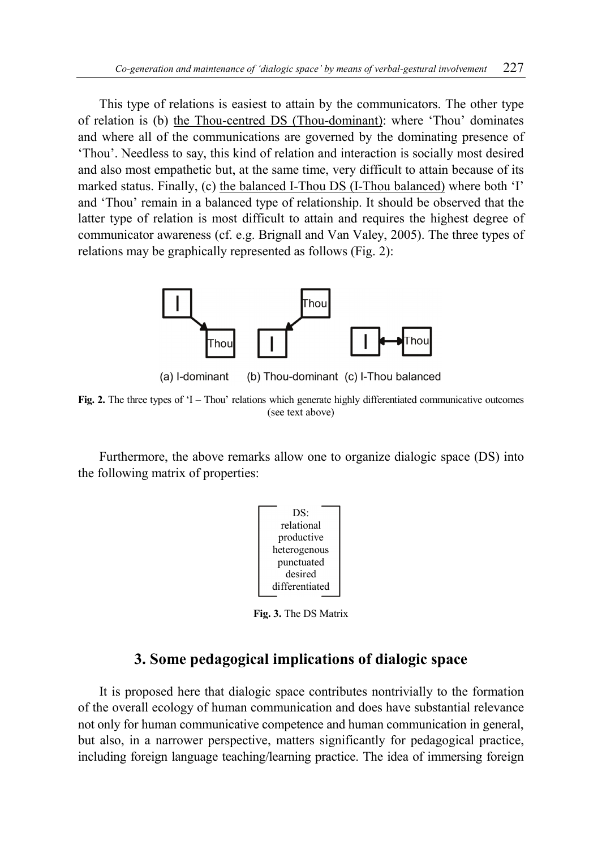This type of relations is easiest to attain by the communicators. The other type of relation is (b) the Thou-centred DS (Thou-dominant): where 'Thou' dominates and where all of the communications are governed by the dominating presence of 'Thou'. Needless to say, this kind of relation and interaction is socially most desired and also most empathetic but, at the same time, very difficult to attain because of its marked status. Finally, (c) the balanced I-Thou DS (I-Thou balanced) where both 'I' and 'Thou' remain in a balanced type of relationship. It should be observed that the latter type of relation is most difficult to attain and requires the highest degree of communicator awareness (cf. e.g. Brignall and Van Valey, 2005). The three types of relations may be graphically represented as follows (Fig. 2):



(a) I-dominant (b) Thou-dominant (c) I-Thou balanced

**Fig. 2.** The three types of 'I – Thou' relations which generate highly differentiated communicative outcomes (see text above)

Furthermore, the above remarks allow one to organize dialogic space (DS) into the following matrix of properties:



**Fig. 3.** The DS Matrix

## **3. Some pedagogical implications of dialogic space**

It is proposed here that dialogic space contributes nontrivially to the formation of the overall ecology of human communication and does have substantial relevance not only for human communicative competence and human communication in general, but also, in a narrower perspective, matters significantly for pedagogical practice, including foreign language teaching/learning practice. The idea of immersing foreign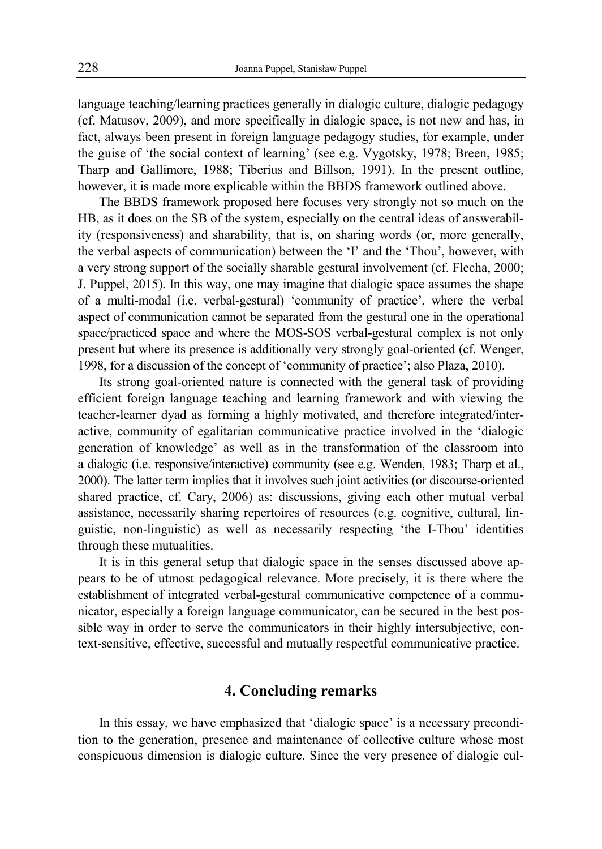language teaching/learning practices generally in dialogic culture, dialogic pedagogy (cf. Matusov, 2009), and more specifically in dialogic space, is not new and has, in fact, always been present in foreign language pedagogy studies, for example, under the guise of 'the social context of learning' (see e.g. Vygotsky, 1978; Breen, 1985; Tharp and Gallimore, 1988; Tiberius and Billson, 1991). In the present outline, however, it is made more explicable within the BBDS framework outlined above.

The BBDS framework proposed here focuses very strongly not so much on the HB, as it does on the SB of the system, especially on the central ideas of answerability (responsiveness) and sharability, that is, on sharing words (or, more generally, the verbal aspects of communication) between the 'I' and the 'Thou', however, with a very strong support of the socially sharable gestural involvement (cf. Flecha, 2000; J. Puppel, 2015). In this way, one may imagine that dialogic space assumes the shape of a multi-modal (i.e. verbal-gestural) 'community of practice', where the verbal aspect of communication cannot be separated from the gestural one in the operational space/practiced space and where the MOS-SOS verbal-gestural complex is not only present but where its presence is additionally very strongly goal-oriented (cf. Wenger, 1998, for a discussion of the concept of 'community of practice'; also Plaza, 2010).

Its strong goal-oriented nature is connected with the general task of providing efficient foreign language teaching and learning framework and with viewing the teacher-learner dyad as forming a highly motivated, and therefore integrated/interactive, community of egalitarian communicative practice involved in the 'dialogic generation of knowledge' as well as in the transformation of the classroom into a dialogic (i.e. responsive/interactive) community (see e.g. Wenden, 1983; Tharp et al., 2000). The latter term implies that it involves such joint activities (or discourse-oriented shared practice, cf. Cary, 2006) as: discussions, giving each other mutual verbal assistance, necessarily sharing repertoires of resources (e.g. cognitive, cultural, linguistic, non-linguistic) as well as necessarily respecting 'the I-Thou' identities through these mutualities.

It is in this general setup that dialogic space in the senses discussed above appears to be of utmost pedagogical relevance. More precisely, it is there where the establishment of integrated verbal-gestural communicative competence of a communicator, especially a foreign language communicator, can be secured in the best possible way in order to serve the communicators in their highly intersubjective, context-sensitive, effective, successful and mutually respectful communicative practice.

## **4. Concluding remarks**

In this essay, we have emphasized that 'dialogic space' is a necessary precondition to the generation, presence and maintenance of collective culture whose most conspicuous dimension is dialogic culture. Since the very presence of dialogic cul-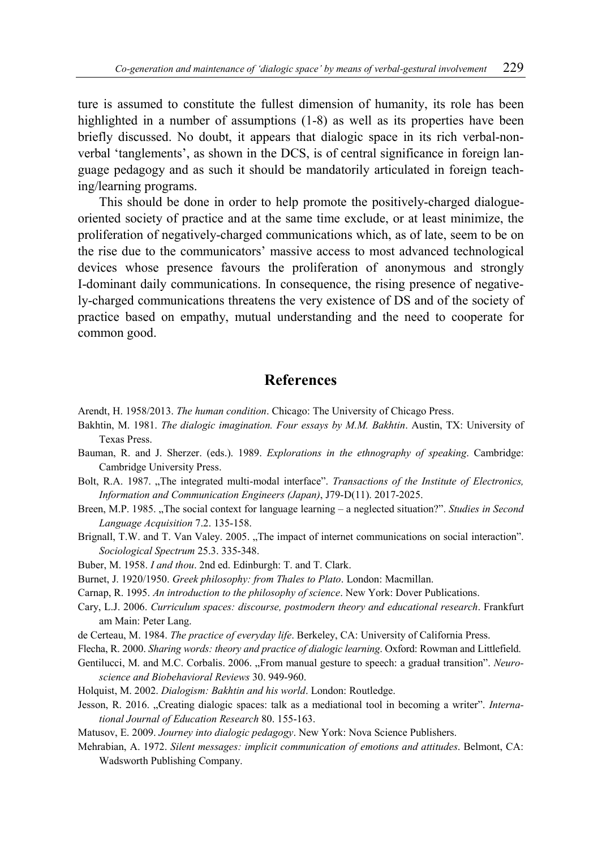ture is assumed to constitute the fullest dimension of humanity, its role has been highlighted in a number of assumptions  $(1-8)$  as well as its properties have been briefly discussed. No doubt, it appears that dialogic space in its rich verbal-nonverbal 'tanglements', as shown in the DCS, is of central significance in foreign language pedagogy and as such it should be mandatorily articulated in foreign teaching/learning programs.

This should be done in order to help promote the positively-charged dialogueoriented society of practice and at the same time exclude, or at least minimize, the proliferation of negatively-charged communications which, as of late, seem to be on the rise due to the communicators' massive access to most advanced technological devices whose presence favours the proliferation of anonymous and strongly I-dominant daily communications. In consequence, the rising presence of negatively-charged communications threatens the very existence of DS and of the society of practice based on empathy, mutual understanding and the need to cooperate for common good.

### **References**

- Arendt, H. 1958/2013. *The human condition*. Chicago: The University of Chicago Press.
- Bakhtin, M. 1981. *The dialogic imagination. Four essays by M.M. Bakhtin*. Austin, TX: University of Texas Press.
- Bauman, R. and J. Sherzer. (eds.). 1989. *Explorations in the ethnography of speaking*. Cambridge: Cambridge University Press.
- Bolt, R.A. 1987. "The integrated multi-modal interface". *Transactions of the Institute of Electronics*, *Information and Communication Engineers (Japan)*, J79-D(11). 2017-2025.
- Breen, M.P. 1985. "The social context for language learning a neglected situation?". *Studies in Second Language Acquisition* 7.2. 135-158.
- Brignall, T.W. and T. Van Valey. 2005. "The impact of internet communications on social interaction". *Sociological Spectrum* 25.3. 335-348.
- Buber, M. 1958. *I and thou*. 2nd ed. Edinburgh: T. and T. Clark.
- Burnet, J. 1920/1950. *Greek philosophy: from Thales to Plato*. London: Macmillan.
- Carnap, R. 1995. *An introduction to the philosophy of science*. New York: Dover Publications.
- Cary, L.J. 2006. *Curriculum spaces: discourse, postmodern theory and educational research*. Frankfurt am Main: Peter Lang.
- de Certeau, M. 1984. *The practice of everyday life*. Berkeley, CA: University of California Press.
- Flecha, R. 2000. *Sharing words: theory and practice of dialogic learning*. Oxford: Rowman and Littlefield.
- Gentilucci, M. and M.C. Corbalis. 2006. "From manual gesture to speech: a graduał transition". *Neuroscience and Biobehavioral Reviews* 30. 949-960.
- Holquist, M. 2002. *Dialogism: Bakhtin and his world*. London: Routledge.
- Jesson, R. 2016. "Creating dialogic spaces: talk as a mediational tool in becoming a writer". *International Journal of Education Research* 80. 155-163.
- Matusov, E. 2009. *Journey into dialogic pedagogy*. New York: Nova Science Publishers.
- Mehrabian, A. 1972. *Silent messages: implicit communication of emotions and attitudes*. Belmont, CA: Wadsworth Publishing Company.